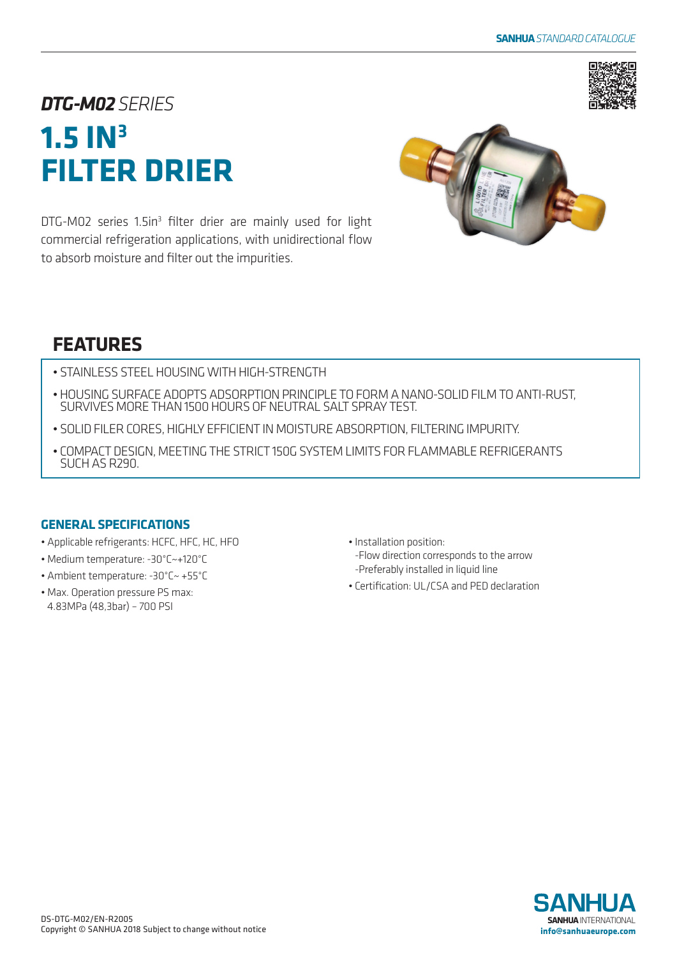

# *DTG-M02SERIES* **1.5 IN3 FILTER DRIER**

DTG-M02 series 1.5in<sup>3</sup> filter drier are mainly used for light commercial refrigeration applications, with unidirectional flow to absorb moisture and filter out the impurities.



## **FEATURES**

- STAINLESS STEEL HOUSING WITH HIGH-STRENGTH
- HOUSING SURFACE ADOPTS ADSORPTION PRINCIPLE TO FORM A NANO-SOLID FILM TO ANTI-RUST, SURVIVES MORE THAN 1500 HOURS OF NEUTRAL SALT SPRAY TEST.
- SOLID FILER CORES, HIGHLY EFFICIENT IN MOISTURE ABSORPTION, FILTERING IMPURITY.
- COMPACT DESIGN, MEETING THE STRICT 150G SYSTEM LIMITS FOR FLAMMABLE REFRIGERANTS SUCH AS R290.

### **GENERAL SPECIFICATIONS**

- Applicable refrigerants: HCFC, HFC, HC, HFO
- Medium temperature: -30°C~+120°C
- Ambient temperature: -30°C~ +55°C
- Max. Operation pressure PS max: 4.83MPa (48,3bar) – 700 PSI
- Installation position: -Flow direction corresponds to the arrow -Preferably installed in liquid line
- Certification: UL/CSA and PED declaration

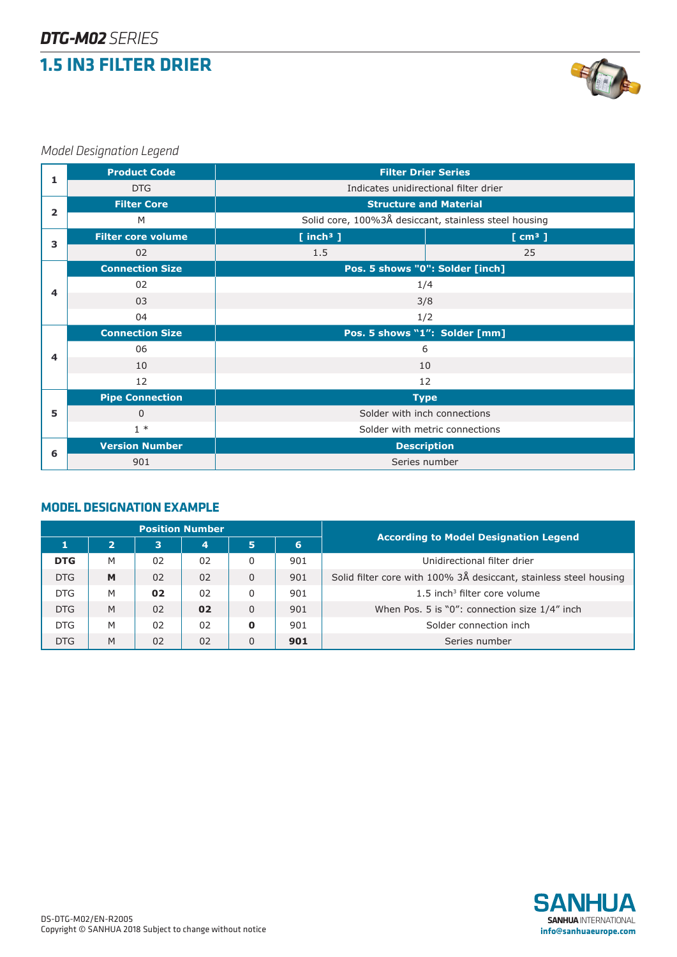### **1.5 IN3 FILTER DRIER**



### *Model Designation Legend*

|                | <b>Product Code</b>       | <b>Filter Drier Series</b>                            |                    |  |  |  |  |  |  |
|----------------|---------------------------|-------------------------------------------------------|--------------------|--|--|--|--|--|--|
| 1              | <b>DTG</b>                | Indicates unidirectional filter drier                 |                    |  |  |  |  |  |  |
|                | <b>Filter Core</b>        | <b>Structure and Material</b>                         |                    |  |  |  |  |  |  |
| $\overline{2}$ | M                         | Solid core, 100%3Å desiccant, stainless steel housing |                    |  |  |  |  |  |  |
| 3              | <b>Filter core volume</b> | $[$ inch <sup>3</sup> $]$                             | [cm <sup>3</sup> ] |  |  |  |  |  |  |
|                | 02                        | 1.5                                                   | 25                 |  |  |  |  |  |  |
|                | <b>Connection Size</b>    | Pos. 5 shows "0": Solder [inch]                       |                    |  |  |  |  |  |  |
| 4              | 02                        | 1/4                                                   |                    |  |  |  |  |  |  |
|                | 03                        | 3/8                                                   |                    |  |  |  |  |  |  |
|                | 04                        | 1/2                                                   |                    |  |  |  |  |  |  |
|                | <b>Connection Size</b>    | Pos. 5 shows "1": Solder [mm]                         |                    |  |  |  |  |  |  |
| 4              | 06                        | 6                                                     |                    |  |  |  |  |  |  |
|                | 10                        | 10                                                    |                    |  |  |  |  |  |  |
|                | 12                        | 12                                                    |                    |  |  |  |  |  |  |
|                | <b>Pipe Connection</b>    |                                                       | <b>Type</b>        |  |  |  |  |  |  |
| 5              | $\Omega$                  | Solder with inch connections                          |                    |  |  |  |  |  |  |
|                | $1*$                      | Solder with metric connections                        |                    |  |  |  |  |  |  |
| 6              | <b>Version Number</b>     |                                                       | <b>Description</b> |  |  |  |  |  |  |
|                | 901                       | Series number                                         |                    |  |  |  |  |  |  |

#### **MODEL DESIGNATION EXAMPLE**

| <b>Position Number</b> |                |                |                |                |     | <b>According to Model Designation Legend</b>                      |  |  |  |  |
|------------------------|----------------|----------------|----------------|----------------|-----|-------------------------------------------------------------------|--|--|--|--|
|                        | $\overline{2}$ | 3              | 4              | 5              | 6   |                                                                   |  |  |  |  |
| <b>DTG</b>             | M              | 02             | 02             | 0              | 901 | Unidirectional filter drier                                       |  |  |  |  |
| <b>DTG</b>             | M              | 0 <sub>2</sub> | 0 <sub>2</sub> | $\mathbf{0}$   | 901 | Solid filter core with 100% 3Å desiccant, stainless steel housing |  |  |  |  |
| <b>DTG</b>             | M              | 02             | 02             | 0              | 901 | $1.5$ inch <sup>3</sup> filter core volume                        |  |  |  |  |
| <b>DTG</b>             | M              | 0 <sub>2</sub> | 02             | $\overline{0}$ | 901 | When Pos. 5 is "0": connection size 1/4" inch                     |  |  |  |  |
| <b>DTG</b>             | M              | 0 <sub>2</sub> | 02             | 0              | 901 | Solder connection inch                                            |  |  |  |  |
| <b>DTG</b>             | M              | 02             | 02             | $\mathbf 0$    | 901 | Series number                                                     |  |  |  |  |

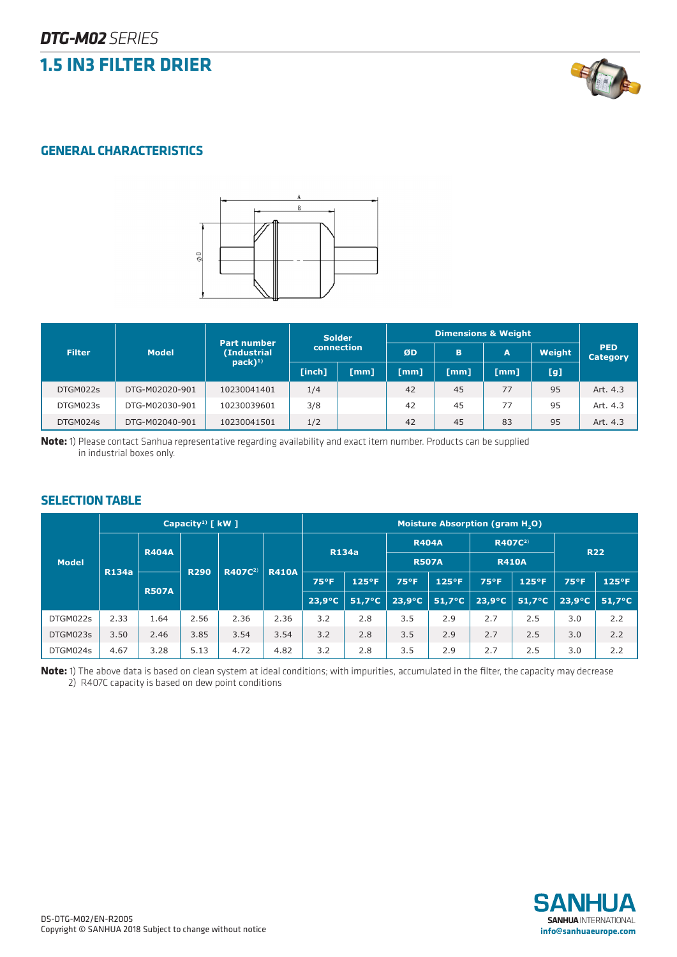### **1.5 IN3 FILTER DRIER**



### **GENERAL CHARACTERISTICS**



|               |                | Part number ' |            | <b>Solder</b> | <b>Dimensions &amp; Weight</b> |      |              |        |                        |  |
|---------------|----------------|---------------|------------|---------------|--------------------------------|------|--------------|--------|------------------------|--|
| <b>Filter</b> | <b>Model</b>   | (Industrial   | connection |               | ØD                             | B    | $\mathbf{A}$ | Weight | <b>PED</b><br>Category |  |
|               |                | $pack)^{1)}$  | [inch]     | [mm]          | $\lceil$ mm $\rceil$           | [mm] | [mm]         | [g]    |                        |  |
| DTGM022s      | DTG-M02020-901 | 10230041401   | 1/4        |               | 42                             | 45   | 77           | 95     | Art. 4.3               |  |
| DTGM023s      | DTG-M02030-901 | 10230039601   | 3/8        |               | 42                             | 45   | 77           | 95     | Art. 4.3               |  |
| DTGM024s      | DTG-M02040-901 | 10230041501   | 1/2        |               | 42                             | 45   | 83           | 95     | Art. 4.3               |  |

**Note:** 1) Please contact Sanhua representative regarding availability and exact item number. Products can be supplied in industrial boxes only.

#### **SELECTION TABLE**

|              | Capacity <sup>1)</sup> $\lceil$ kW $\rceil$ |              |             |                     |              | <b>Moisture Absorption (gram H.O)</b> |                  |                              |                  |                                     |                  |                 |                  |
|--------------|---------------------------------------------|--------------|-------------|---------------------|--------------|---------------------------------------|------------------|------------------------------|------------------|-------------------------------------|------------------|-----------------|------------------|
|              |                                             | <b>R404A</b> | <b>R290</b> | R407C <sup>2)</sup> | <b>R410A</b> | <b>R134a</b>                          |                  | <b>R404A</b><br><b>R507A</b> |                  | R407C <sup>2)</sup><br><b>R410A</b> |                  | <b>R22</b>      |                  |
| <b>Model</b> | <b>R134a</b>                                |              |             |                     |              |                                       |                  |                              |                  |                                     |                  |                 |                  |
|              |                                             | <b>R507A</b> |             |                     |              | 75°F                                  | $125^{\circ}F$   | <b>75°F</b>                  | $125^{\circ}F$   | <b>75°F</b>                         | $125^{\circ}F$   | 75°F            | $125^{\circ}F$   |
|              |                                             |              |             |                     |              | $23.9^{\circ}C$                       | $51.7^{\circ}$ C | $23.9^{\circ}C$              | $51,7^{\circ}$ C | $23,9^{\circ}C$                     | $51.7^{\circ}$ C | $23.9^{\circ}C$ | $51.7^{\circ}$ C |
| DTGM022s     | 2.33                                        | 1.64         | 2.56        | 2.36                | 2.36         | 3.2                                   | 2.8              | 3.5                          | 2.9              | 2.7                                 | 2.5              | 3.0             | 2.2              |
| DTGM023s     | 3.50                                        | 2.46         | 3.85        | 3.54                | 3.54         | 3.2                                   | 2.8              | 3.5                          | 2.9              | 2.7                                 | 2.5              | 3.0             | 2.2              |
| DTGM024s     | 4.67                                        | 3.28         | 5.13        | 4.72                | 4.82         | 3.2                                   | 2.8              | 3.5                          | 2.9              | 2.7                                 | 2.5              | 3.0             | 2.2              |

**Note:** 1) The above data is based on clean system at ideal conditions; with impurities, accumulated in the filter, the capacity may decrease 2) R407C capacity is based on dew point conditions